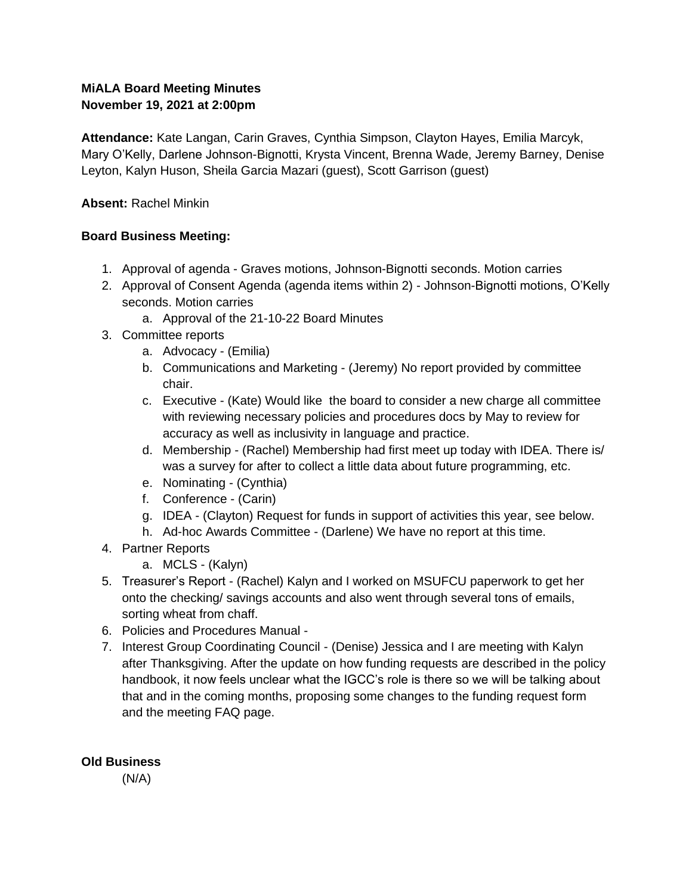## **MiALA Board Meeting Minutes November 19, 2021 at 2:00pm**

**Attendance:** Kate Langan, Carin Graves, Cynthia Simpson, Clayton Hayes, Emilia Marcyk, Mary O'Kelly, Darlene Johnson-Bignotti, Krysta Vincent, Brenna Wade, Jeremy Barney, Denise Leyton, Kalyn Huson, Sheila Garcia Mazari (guest), Scott Garrison (guest)

## **Absent:** Rachel Minkin

## **Board Business Meeting:**

- 1. Approval of agenda Graves motions, Johnson-Bignotti seconds. Motion carries
- 2. Approval of Consent Agenda (agenda items within 2) Johnson-Bignotti motions, O'Kelly seconds. Motion carries
	- a. Approval of the 21-10-22 Board Minutes
- 3. Committee reports
	- a. Advocacy (Emilia)
	- b. Communications and Marketing (Jeremy) No report provided by committee chair.
	- c. Executive (Kate) Would like the board to consider a new charge all committee with reviewing necessary policies and procedures docs by May to review for accuracy as well as inclusivity in language and practice.
	- d. Membership (Rachel) Membership had first meet up today with IDEA. There is/ was a survey for after to collect a little data about future programming, etc.
	- e. Nominating (Cynthia)
	- f. Conference (Carin)
	- g. IDEA (Clayton) Request for funds in support of activities this year, see below.
	- h. Ad-hoc Awards Committee (Darlene) We have no report at this time.
- 4. Partner Reports
	- a. MCLS (Kalyn)
- 5. Treasurer's Report (Rachel) Kalyn and I worked on MSUFCU paperwork to get her onto the checking/ savings accounts and also went through several tons of emails, sorting wheat from chaff.
- 6. Policies and Procedures Manual -
- 7. Interest Group Coordinating Council (Denise) Jessica and I are meeting with Kalyn after Thanksgiving. After the update on how funding requests are described in the policy handbook, it now feels unclear what the IGCC's role is there so we will be talking about that and in the coming months, proposing some changes to the funding request form and the meeting FAQ page.

## **Old Business**

 $(N/A)$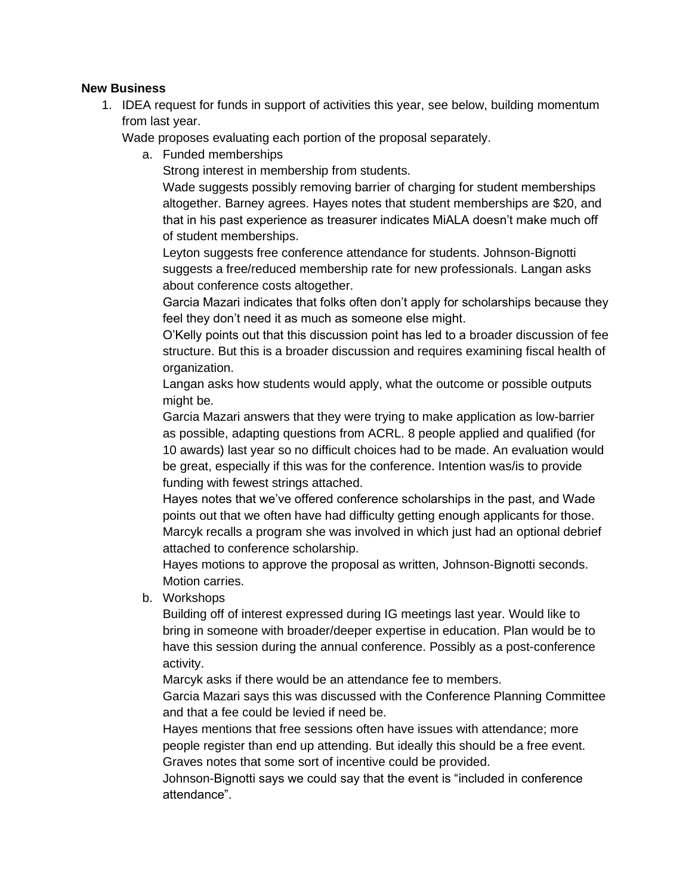#### **New Business**

1. IDEA request for funds in support of activities this year, see below, building momentum from last year.

Wade proposes evaluating each portion of the proposal separately.

a. Funded memberships

Strong interest in membership from students.

Wade suggests possibly removing barrier of charging for student memberships altogether. Barney agrees. Hayes notes that student memberships are \$20, and that in his past experience as treasurer indicates MiALA doesn't make much off of student memberships.

Leyton suggests free conference attendance for students. Johnson-Bignotti suggests a free/reduced membership rate for new professionals. Langan asks about conference costs altogether.

Garcia Mazari indicates that folks often don't apply for scholarships because they feel they don't need it as much as someone else might.

O'Kelly points out that this discussion point has led to a broader discussion of fee structure. But this is a broader discussion and requires examining fiscal health of organization.

Langan asks how students would apply, what the outcome or possible outputs might be.

Garcia Mazari answers that they were trying to make application as low-barrier as possible, adapting questions from ACRL. 8 people applied and qualified (for 10 awards) last year so no difficult choices had to be made. An evaluation would be great, especially if this was for the conference. Intention was/is to provide funding with fewest strings attached.

Hayes notes that we've offered conference scholarships in the past, and Wade points out that we often have had difficulty getting enough applicants for those. Marcyk recalls a program she was involved in which just had an optional debrief attached to conference scholarship.

Hayes motions to approve the proposal as written, Johnson-Bignotti seconds. Motion carries.

b. Workshops

Building off of interest expressed during IG meetings last year. Would like to bring in someone with broader/deeper expertise in education. Plan would be to have this session during the annual conference. Possibly as a post-conference activity.

Marcyk asks if there would be an attendance fee to members.

Garcia Mazari says this was discussed with the Conference Planning Committee and that a fee could be levied if need be.

Hayes mentions that free sessions often have issues with attendance; more people register than end up attending. But ideally this should be a free event. Graves notes that some sort of incentive could be provided.

Johnson-Bignotti says we could say that the event is "included in conference attendance".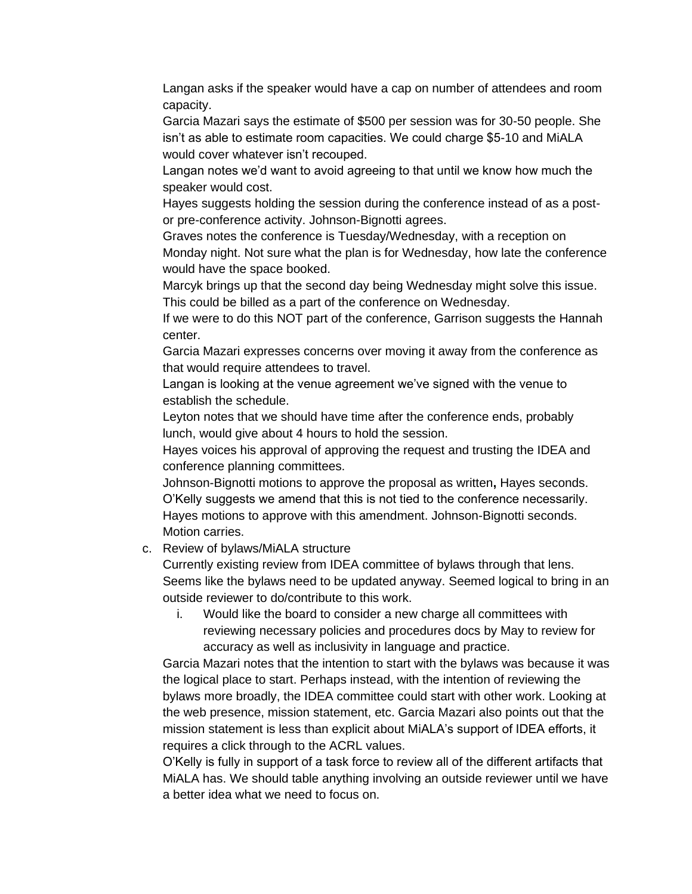Langan asks if the speaker would have a cap on number of attendees and room capacity.

Garcia Mazari says the estimate of \$500 per session was for 30-50 people. She isn't as able to estimate room capacities. We could charge \$5-10 and MiALA would cover whatever isn't recouped.

Langan notes we'd want to avoid agreeing to that until we know how much the speaker would cost.

Hayes suggests holding the session during the conference instead of as a postor pre-conference activity. Johnson-Bignotti agrees.

Graves notes the conference is Tuesday/Wednesday, with a reception on Monday night. Not sure what the plan is for Wednesday, how late the conference would have the space booked.

Marcyk brings up that the second day being Wednesday might solve this issue. This could be billed as a part of the conference on Wednesday.

If we were to do this NOT part of the conference, Garrison suggests the Hannah center.

Garcia Mazari expresses concerns over moving it away from the conference as that would require attendees to travel.

Langan is looking at the venue agreement we've signed with the venue to establish the schedule.

Leyton notes that we should have time after the conference ends, probably lunch, would give about 4 hours to hold the session.

Hayes voices his approval of approving the request and trusting the IDEA and conference planning committees.

Johnson-Bignotti motions to approve the proposal as written**,** Hayes seconds. O'Kelly suggests we amend that this is not tied to the conference necessarily. Hayes motions to approve with this amendment. Johnson-Bignotti seconds. Motion carries.

#### c. Review of bylaws/MiALA structure

Currently existing review from IDEA committee of bylaws through that lens. Seems like the bylaws need to be updated anyway. Seemed logical to bring in an outside reviewer to do/contribute to this work.

i. Would like the board to consider a new charge all committees with reviewing necessary policies and procedures docs by May to review for accuracy as well as inclusivity in language and practice.

Garcia Mazari notes that the intention to start with the bylaws was because it was the logical place to start. Perhaps instead, with the intention of reviewing the bylaws more broadly, the IDEA committee could start with other work. Looking at the web presence, mission statement, etc. Garcia Mazari also points out that the mission statement is less than explicit about MiALA's support of IDEA efforts, it requires a click through to the ACRL values.

O'Kelly is fully in support of a task force to review all of the different artifacts that MiALA has. We should table anything involving an outside reviewer until we have a better idea what we need to focus on.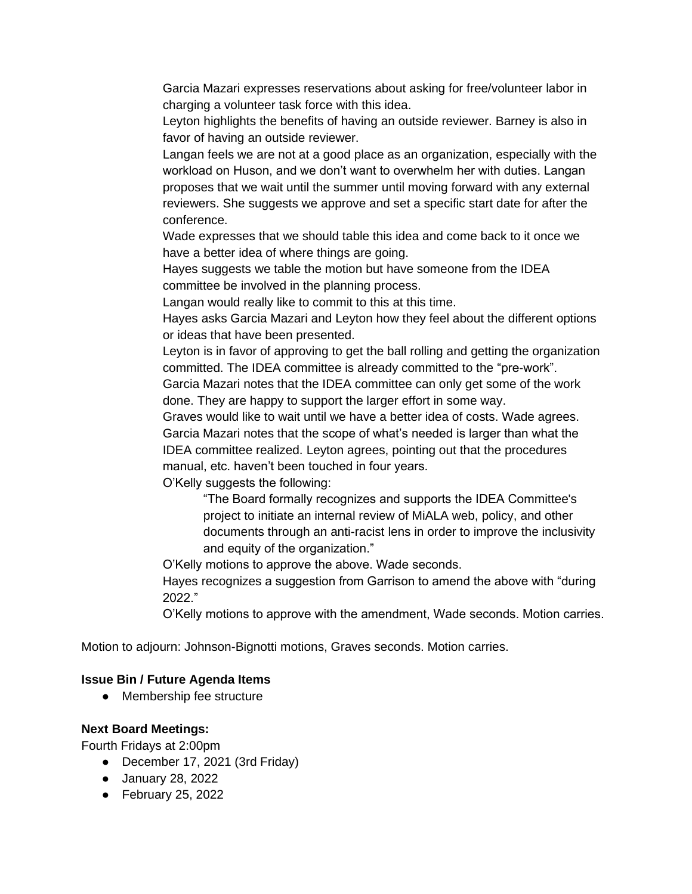Garcia Mazari expresses reservations about asking for free/volunteer labor in charging a volunteer task force with this idea.

Leyton highlights the benefits of having an outside reviewer. Barney is also in favor of having an outside reviewer.

Langan feels we are not at a good place as an organization, especially with the workload on Huson, and we don't want to overwhelm her with duties. Langan proposes that we wait until the summer until moving forward with any external reviewers. She suggests we approve and set a specific start date for after the conference.

Wade expresses that we should table this idea and come back to it once we have a better idea of where things are going.

Hayes suggests we table the motion but have someone from the IDEA committee be involved in the planning process.

Langan would really like to commit to this at this time.

Hayes asks Garcia Mazari and Leyton how they feel about the different options or ideas that have been presented.

Leyton is in favor of approving to get the ball rolling and getting the organization committed. The IDEA committee is already committed to the "pre-work".

Garcia Mazari notes that the IDEA committee can only get some of the work done. They are happy to support the larger effort in some way.

Graves would like to wait until we have a better idea of costs. Wade agrees. Garcia Mazari notes that the scope of what's needed is larger than what the IDEA committee realized. Leyton agrees, pointing out that the procedures manual, etc. haven't been touched in four years.

O'Kelly suggests the following:

"The Board formally recognizes and supports the IDEA Committee's project to initiate an internal review of MiALA web, policy, and other documents through an anti-racist lens in order to improve the inclusivity and equity of the organization."

O'Kelly motions to approve the above. Wade seconds.

Hayes recognizes a suggestion from Garrison to amend the above with "during 2022."

O'Kelly motions to approve with the amendment, Wade seconds. Motion carries.

Motion to adjourn: Johnson-Bignotti motions, Graves seconds. Motion carries.

#### **Issue Bin / Future Agenda Items**

● Membership fee structure

#### **Next Board Meetings:**

Fourth Fridays at 2:00pm

- December 17, 2021 (3rd Friday)
- January 28, 2022
- February 25, 2022